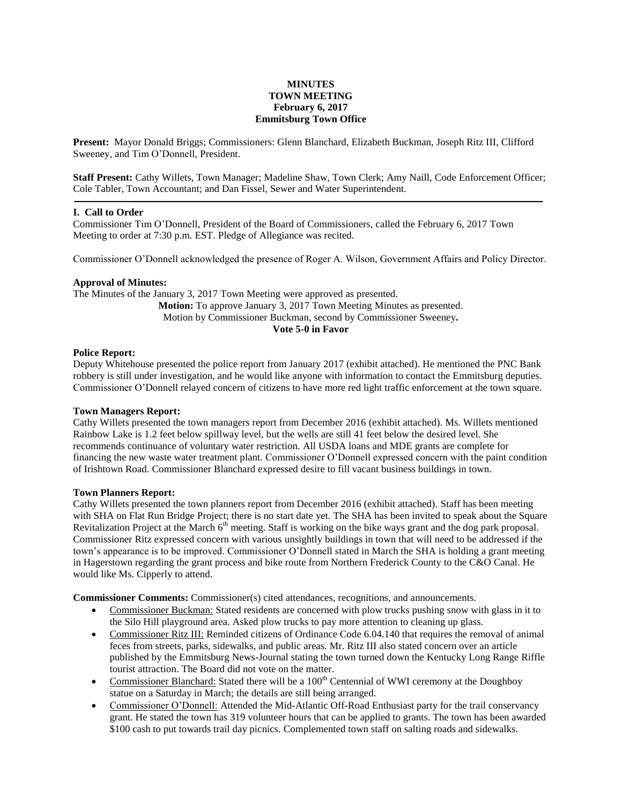# **MINUTES TOWN MEETING February 6, 2017 Emmitsburg Town Office**

**Present:** Mayor Donald Briggs; Commissioners: Glenn Blanchard, Elizabeth Buckman, Joseph Ritz III, Clifford Sweeney, and Tim O'Donnell, President.

**Staff Present:** Cathy Willets, Town Manager; Madeline Shaw, Town Clerk; Amy Naill, Code Enforcement Officer; Cole Tabler, Town Accountant; and Dan Fissel, Sewer and Water Superintendent.

#### **I. Call to Order**

Commissioner Tim O'Donnell, President of the Board of Commissioners, called the February 6, 2017 Town Meeting to order at 7:30 p.m. EST. Pledge of Allegiance was recited.

Commissioner O'Donnell acknowledged the presence of Roger A. Wilson, Government Affairs and Policy Director.

### **Approval of Minutes:**

The Minutes of the January 3, 2017 Town Meeting were approved as presented. **Motion:** To approve January 3, 2017 Town Meeting Minutes as presented. Motion by Commissioner Buckman, second by Commissioner Sweeney**. Vote 5-0 in Favor**

#### **Police Report:**

Deputy Whitehouse presented the police report from January 2017 (exhibit attached). He mentioned the PNC Bank robbery is still under investigation, and he would like anyone with information to contact the Emmitsburg deputies. Commissioner O'Donnell relayed concern of citizens to have more red light traffic enforcement at the town square.

### **Town Managers Report:**

Cathy Willets presented the town managers report from December 2016 (exhibit attached). Ms. Willets mentioned Rainbow Lake is 1.2 feet below spillway level, but the wells are still 41 feet below the desired level. She recommends continuance of voluntary water restriction. All USDA loans and MDE grants are complete for financing the new waste water treatment plant. Commissioner O'Donnell expressed concern with the paint condition of Irishtown Road. Commissioner Blanchard expressed desire to fill vacant business buildings in town.

#### **Town Planners Report:**

Cathy Willets presented the town planners report from December 2016 (exhibit attached). Staff has been meeting with SHA on Flat Run Bridge Project; there is no start date yet. The SHA has been invited to speak about the Square Revitalization Project at the March  $6<sup>th</sup>$  meeting. Staff is working on the bike ways grant and the dog park proposal. Commissioner Ritz expressed concern with various unsightly buildings in town that will need to be addressed if the town's appearance is to be improved. Commissioner O'Donnell stated in March the SHA is holding a grant meeting in Hagerstown regarding the grant process and bike route from Northern Frederick County to the C&O Canal. He would like Ms. Cipperly to attend.

**Commissioner Comments:** Commissioner(s) cited attendances, recognitions, and announcements.

- Commissioner Buckman: Stated residents are concerned with plow trucks pushing snow with glass in it to the Silo Hill playground area. Asked plow trucks to pay more attention to cleaning up glass.
- Commissioner Ritz III: Reminded citizens of Ordinance Code 6.04.140 that requires the removal of animal feces from streets, parks, sidewalks, and public areas. Mr. Ritz III also stated concern over an article published by the Emmitsburg News-Journal stating the town turned down the Kentucky Long Range Riffle tourist attraction. The Board did not vote on the matter.
- Commissioner Blanchard: Stated there will be a 100<sup>th</sup> Centennial of WWI ceremony at the Doughboy statue on a Saturday in March; the details are still being arranged.
- Commissioner O'Donnell: Attended the Mid-Atlantic Off-Road Enthusiast party for the trail conservancy grant. He stated the town has 319 volunteer hours that can be applied to grants. The town has been awarded \$100 cash to put towards trail day picnics. Complemented town staff on salting roads and sidewalks.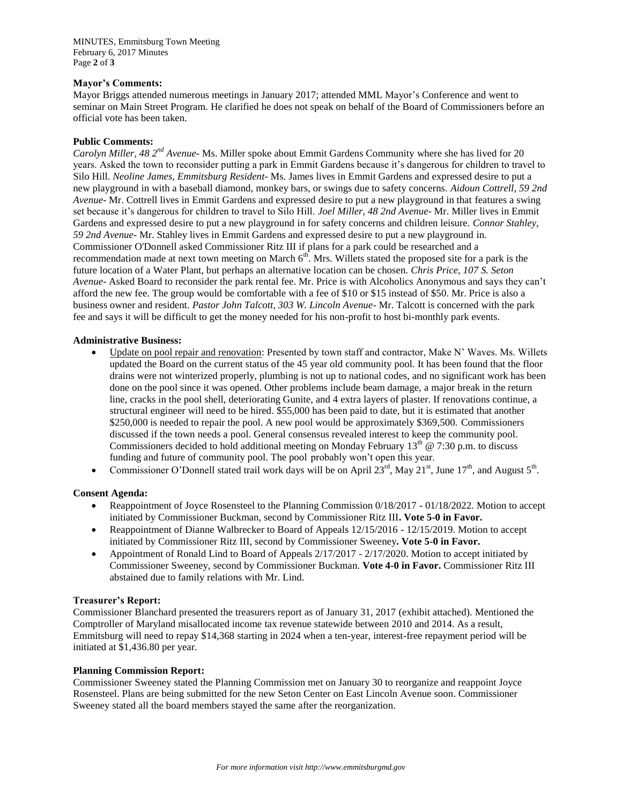MINUTES, Emmitsburg Town Meeting February 6, 2017 Minutes Page **2** of **3**

### **Mayor's Comments:**

Mayor Briggs attended numerous meetings in January 2017; attended MML Mayor's Conference and went to seminar on Main Street Program. He clarified he does not speak on behalf of the Board of Commissioners before an official vote has been taken.

### **Public Comments:**

*Carolyn Miller, 48 2nd Avenue*- Ms. Miller spoke about Emmit Gardens Community where she has lived for 20 years. Asked the town to reconsider putting a park in Emmit Gardens because it's dangerous for children to travel to Silo Hill. *Neoline James, Emmitsburg Resident*- Ms. James lives in Emmit Gardens and expressed desire to put a new playground in with a baseball diamond, monkey bars, or swings due to safety concerns. *Aidoun Cottrell, 59 2nd Avenue*- Mr. Cottrell lives in Emmit Gardens and expressed desire to put a new playground in that features a swing set because it's dangerous for children to travel to Silo Hill. *Joel Miller, 48 2nd Avenue*- Mr. Miller lives in Emmit Gardens and expressed desire to put a new playground in for safety concerns and children leisure. *Connor Stahley, 59 2nd Avenue*- Mr. Stahley lives in Emmit Gardens and expressed desire to put a new playground in. Commissioner O'Donnell asked Commissioner Ritz III if plans for a park could be researched and a recommendation made at next town meeting on March  $6<sup>th</sup>$ . Mrs. Willets stated the proposed site for a park is the future location of a Water Plant, but perhaps an alternative location can be chosen. *Chris Price, 107 S. Seton Avenue*- Asked Board to reconsider the park rental fee. Mr. Price is with Alcoholics Anonymous and says they can't afford the new fee. The group would be comfortable with a fee of \$10 or \$15 instead of \$50. Mr. Price is also a business owner and resident. *Pastor John Talcott, 303 W. Lincoln Avenue*- Mr. Talcott is concerned with the park fee and says it will be difficult to get the money needed for his non-profit to host bi-monthly park events.

### **Administrative Business:**

- Update on pool repair and renovation: Presented by town staff and contractor, Make N' Waves. Ms. Willets updated the Board on the current status of the 45 year old community pool. It has been found that the floor drains were not winterized properly, plumbing is not up to national codes, and no significant work has been done on the pool since it was opened. Other problems include beam damage, a major break in the return line, cracks in the pool shell, deteriorating Gunite, and 4 extra layers of plaster. If renovations continue, a structural engineer will need to be hired. \$55,000 has been paid to date, but it is estimated that another \$250,000 is needed to repair the pool. A new pool would be approximately \$369,500. Commissioners discussed if the town needs a pool. General consensus revealed interest to keep the community pool. Commissioners decided to hold additional meeting on Monday February  $13<sup>th</sup>$  @ 7:30 p.m. to discuss funding and future of community pool. The pool probably won't open this year.
- Commissioner O'Donnell stated trail work days will be on April  $23^{rd}$ , May  $21^{st}$ , June  $17^{th}$ , and August  $5^{th}$ .

### **Consent Agenda:**

- Reappointment of Joyce Rosensteel to the Planning Commission 0/18/2017 01/18/2022. Motion to accept initiated by Commissioner Buckman, second by Commissioner Ritz III**. Vote 5-0 in Favor.**
- Reappointment of Dianne Walbrecker to Board of Appeals 12/15/2016 12/15/2019. Motion to accept initiated by Commissioner Ritz III, second by Commissioner Sweeney**. Vote 5-0 in Favor.**
- Appointment of Ronald Lind to Board of Appeals 2/17/2017 2/17/2020. Motion to accept initiated by Commissioner Sweeney, second by Commissioner Buckman. **Vote 4-0 in Favor.** Commissioner Ritz III abstained due to family relations with Mr. Lind.

### **Treasurer's Report:**

Commissioner Blanchard presented the treasurers report as of January 31, 2017 (exhibit attached). Mentioned the Comptroller of Maryland misallocated income tax revenue statewide between 2010 and 2014. As a result, Emmitsburg will need to repay \$14,368 starting in 2024 when a ten-year, interest-free repayment period will be initiated at \$1,436.80 per year.

### **Planning Commission Report:**

Commissioner Sweeney stated the Planning Commission met on January 30 to reorganize and reappoint Joyce Rosensteel. Plans are being submitted for the new Seton Center on East Lincoln Avenue soon. Commissioner Sweeney stated all the board members stayed the same after the reorganization.